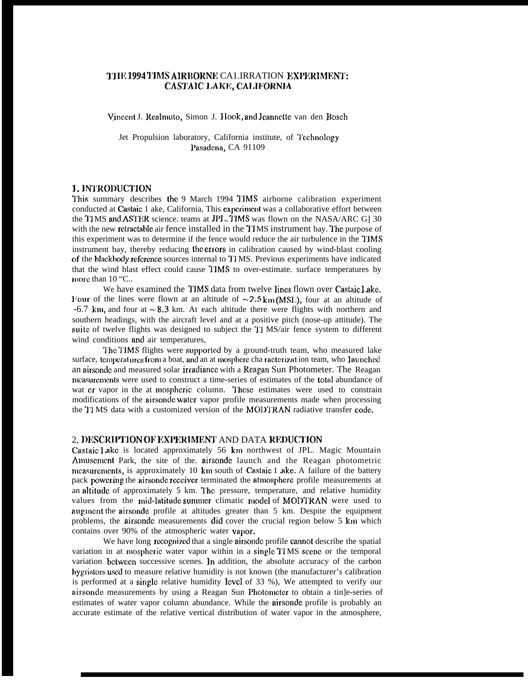# THE 1994 TIMS AIRBORNE CA1.IRRATION EXPERIMENT: CASTAIC LAKE, CALIFORNIA

Vincent J. Realmuto, Simon J. Hook, and Jeannette van den Bosch

Jet Propulsion laboratory, California institute, of Technology Pasadena, CA 91109

# 1. INTRODUCTION

This summary describes the 9 March 1994 TIMS airborne calibration experiment conducted at Castaic 1 ake, California, This experiment was a collaborative effort between the TIMS and ASTER science. teams at JPL. TIMS was flown on the NASA/ARC G] 30 with the new retractable air fence installed in the TIMS instrument bay. The purpose of this experiment was to determine if the fence would reduce the air turbulence in the I'JMS instrument bay, thereby reducing the errors in calibration caused by wind-blast cooling of the blackbody reference sources internal to T1 MS. Previous experiments have indicated that the wind blast effect could cause 'J'JMS to over-estimate. surface temperatures by more than 10 "C..

We have examined the TIMS data from twelve lines flown over Castaic Lake. Four of the lines were flown at an altitude of  $\sim 2.5 \text{ km(MSL)}$ , four at an altitude of  $-6.7$  km, and four at  $\sim 8.3$  km. At each altitude there were flights with northern and southern headings, with the aircraft level and at a positive pitch (nose-up attitude). The suite of twelve flights was designed to subject the TI MS/air fence system to different wind conditions and air temperatures,

The TIMS flights were supported by a ground-truth team, who measured lake surface, temperatures from a boat, and an at mosphere cha racterizat ion team, who launched an airsonde and measured solar irradiance with a Reagan Sun Photometer. The Reagan measurements were used to construct a time-series of estimates of the total abundance of wat er vapor in the at mospheric column. These estimates were used to constrain modifications of the airsondc water vapor profile measurements made when processing the TJ MS data with a customized version of the MODTRAN radiative transfer code,

## 2, DESCRIPTION OF EXPERIMENT AND DATA REDUCTION

Castaic <sup>1</sup> ake is located approximately 56 krn northwest of JPL. Magic Mountain Amusement Park, the site of the airsonde launch and the Reagan photometric measurements, is approximately 10 km south of Castaic 1 ake, A failure of the battery pack powering the airsonde receiver terminated the atmosphere profile measurements at an altitude of approximately 5 km. The pressure, temperature, and relative humidity values from the mid-latitude summer climatic model of MODTRAN were used to augment the airsonde profile at altitudes greater than  $5 \text{ km}$ . Despite the equipment problems, the airsonde measurements did cover the crucial region below 5 km which contains over 90% of the atmospheric water vapor.

We have long recognized that a single airsonde profile cannot describe the spatial variation in at mospheric water vapor within in a single TIMS scene or the temporal variation between successive scenes. In addition, the absolute accuracy of the carbon hygristors used to measure relative humidity is not known (the manufacturer's calibration is performed at a single relative humidity level of 33 %), We attempted to verify our airsonde measurements by using a Reagan Sun Photometer to obtain a tin]e-series of estimates of water vapor column abundance. While the airsonde profile is probably an accurate estimate of the relative vertical distribution of water vapor in the atmosphere,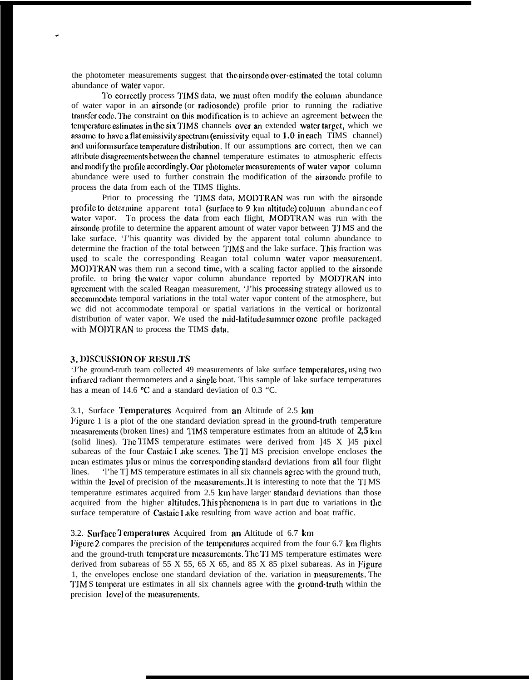the photometer measurements suggest that the airsonde over-estimated the total column abundance of water vapor.

To correctly process TIMS data, we must often modify the column abundance of water vapor in an airsonde (or radiosonde) profile prior to running the radiative transfer code. The constraint on this modification is to achieve an agreement between the temperature estimates in the six TIMS channels over an extended water target, which we assume to have a flat emissivity spectrum (emissivity equal to 1.0 in each TIMS channel) and uniform surface temperature distribution. If our assumptions are correct, then we can attribute disagreements between the channel temperature estimates to atmospheric effects and modify the profile accordingly. Our photometer measurements of water vapor column abundance were used to further constrain the modification of the airsonde profile to process the data from each of the TIMS flights.

Prior to processing the TIMS data, MODTRAN was run with the airsonde profile to determine apparent total (surface to 9 km altitude) column abundance of water vapor. To process the data from each flight, MODTRAN was run with the airsonde profile to determine the apparent amount of water vapor between TIMS and the lake surface. 'J'his quantity was divided by the apparent total column abundance to determine the fraction of the total between TIMS and the lake surface. This fraction was used to scale the corresponding Reagan total column water vapor measurement. MODTRAN was them run a second time, with a scaling factor applied to the airsonde profile. to bring the water vapor column abundance reported by MODTRAN into agreement with the scaled Reagan measurement, 'J'his processing strategy allowed us to accommodate temporal variations in the total water vapor content of the atmosphere, but we did not accommodate temporal or spatial variations in the vertical or horizontal distribution of water vapor. We used the mid-latitude summer ozone profile packaged with MODTRAN to process the TIMS data.

#### 3. DISCUSSION OF RESULTS

'J'he ground-truth team collected 49 measurements of lake surface temperatures, using two infrared radiant thermometers and a single boat. This sample of lake surface temperatures has a mean of 14.6 °C and a standard deviation of 0.3 °C.

### 3.1, Surface Temperatures Acquired from an Altitude of 2.5 km

Figure 1 is a plot of the one standard deviation spread in the ground-truth temperature measurements (broken lines) and TIMS temperature estimates from an altitude of 2,5 km (solid lines). The TIMS temperature estimates were derived from  $145$  X  $145$  pixel subareas of the four Castaic I ake scenes. The TI MS precision envelope encloses the mean estimates plus or minus the corresponding standard deviations from all four flight The T MS temperature estimates in all six channels agree with the ground truth, lines. within the level of precision of the measurements. It is interesting to note that the TIMS temperature estimates acquired from 2.5 km have larger standard deviations than those acquired from the higher altitudes. This phenomena is in part due to variations in the surface temperature of Castaic Lake resulting from wave action and boat traffic.

### 3.2. Surface Temperatures Acquired from an Altitude of 6.7 km

Figure 2 compares the precision of the temperatures acquired from the four  $6.7$  km flights and the ground-truth temperat ure measurements. The TI MS temperature estimates were derived from subareas of 55 X 55, 65 X 65, and 85 X 85 pixel subareas. As in Figure 1, the envelopes enclose one standard deviation of the variation in measurements. The TIMS temperat ure estimates in all six channels agree with the ground-truth within the precision level of the measurements.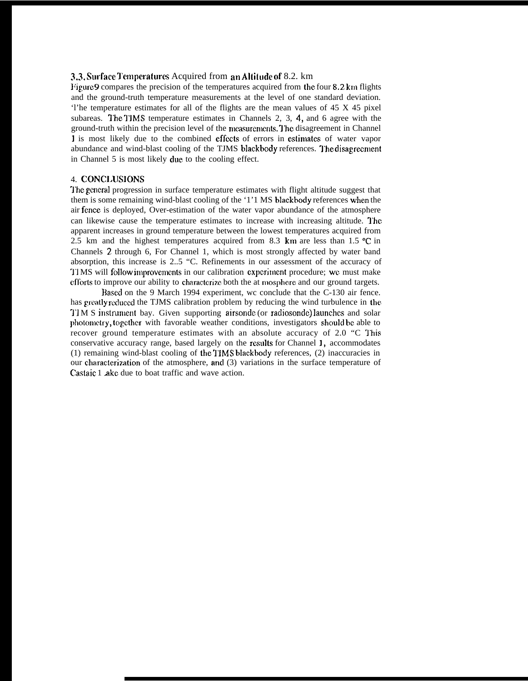### 3.3. Surface Temperatures Acquired from an Altitude of 8.2. km

Figure 9 compares the precision of the temperatures acquired from the four 8.2 km flights and the ground-truth temperature measurements at the level of one standard deviation. 'l'he temperature estimates for all of the flights are the mean values of 45 X 45 pixel subareas. The TIMS temperature estimates in Channels 2, 3, 4, and 6 agree with the ground-truth within the precision level of the measurements. The disagreement in Channel 1 is most likely due to the combined effects of errors in estimates of water vapor abundance and wind-blast cooling of the TJMS blackbody references. The disagreement in Channel 5 is most likely due to the cooling effect.

### 4. CONCLUSIONS

'J'he general progression in surface temperature estimates with flight altitude suggest that them is some remaining wind-blast cooling of the '1'1 MS blackbody references when the air fence is deployed, Over-estimation of the water vapor abundance of the atmosphere can likewise cause the temperature estimates to increase with increasing altitude. The apparent increases in ground temperature between the lowest temperatures acquired from 2.5 km and the highest temperatures acquired from 8.3 km are less than 1.5  $\textdegree$ C in Channels 2 through 6, For Channel 1, which is most strongly affected by water band absorption, this increase is 2..5 "C. Refinements in our assessment of the accuracy of 'J'I MS will fcdlow irnprovenmrts in our calibration cxpcrirnent procedure; wc must make efforts to improve our ability to characterize both the at mosphere and our ground targets.

Based on the 9 March 1994 experiment, wc conclude that the C-130 air fence. has greatly reduced the TJMS calibration problem by reducing the wind turbulence in the TIM S instrument bay. Given supporting airsonde (or radiosonde) launches and solar photometry, together with favorable weather conditions, investigators should be able to recover ground temperature estimates with an absolute accuracy of 2.0 "C This conservative accuracy range, based largely on the rcxults for Channel 1, accommodates (1) remaining wind-blast cooling of the TIMS blackbody references, (2) inaccuracies in our characterization of the atmosphere, and (3) variations in the surface temperature of Castaic 1 ake due to boat traffic and wave action.